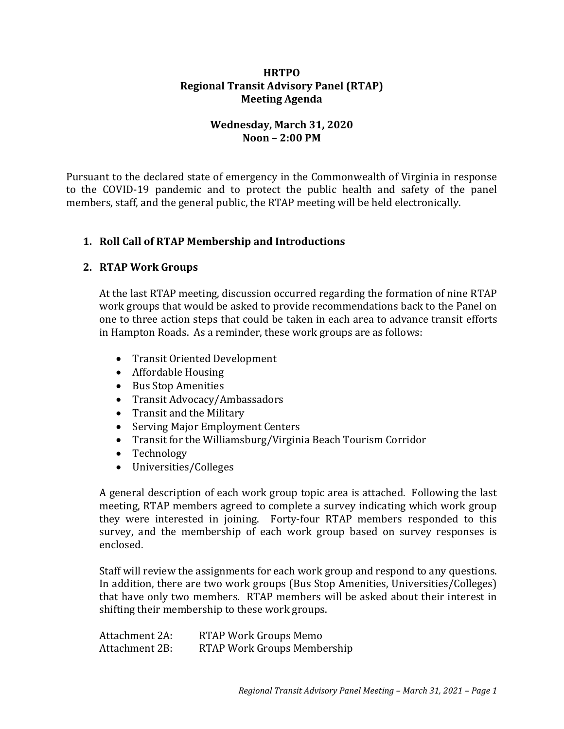### **HRTPO Regional Transit Advisory Panel (RTAP) Meeting Agenda**

# **Wednesday, March 31, 2020 Noon – 2:00 PM**

Pursuant to the declared state of emergency in the Commonwealth of Virginia in response to the COVID-19 pandemic and to protect the public health and safety of the panel members, staff, and the general public, the RTAP meeting will be held electronically.

# **1. Roll Call of RTAP Membership and Introductions**

# **2. RTAP Work Groups**

At the last RTAP meeting, discussion occurred regarding the formation of nine RTAP work groups that would be asked to provide recommendations back to the Panel on one to three action steps that could be taken in each area to advance transit efforts in Hampton Roads. As a reminder, these work groups are as follows:

- Transit Oriented Development
- Affordable Housing
- Bus Stop Amenities
- Transit Advocacy/Ambassadors
- Transit and the Military
- Serving Major Employment Centers
- Transit for the Williamsburg/Virginia Beach Tourism Corridor
- Technology
- Universities/Colleges

A general description of each work group topic area is attached. Following the last meeting, RTAP members agreed to complete a survey indicating which work group they were interested in joining. Forty-four RTAP members responded to this survey, and the membership of each work group based on survey responses is enclosed.

Staff will review the assignments for each work group and respond to any questions. In addition, there are two work groups (Bus Stop Amenities, Universities/Colleges) that have only two members. RTAP members will be asked about their interest in shifting their membership to these work groups.

Attachment 2A: RTAP Work Groups Memo Attachment 2B: RTAP Work Groups Membership